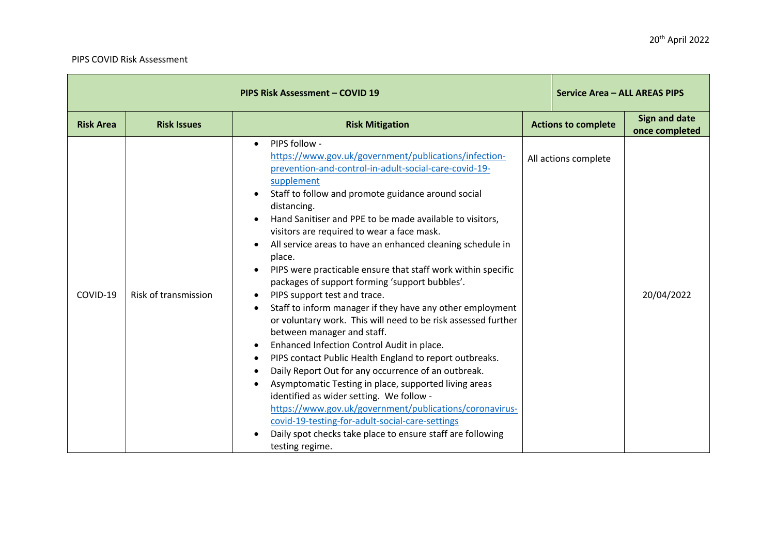## PIPS COVID Risk Assessment

| PIPS Risk Assessment - COVID 19 |                      |                                                                                                                                                                                                                                                                                                                                                                                                                                                                                                                                                                                                                                                                                                                                                                                                                                                                                                                                                                                                                                                                                                                                                                                             |  | Service Area - ALL AREAS PIPS |                                        |
|---------------------------------|----------------------|---------------------------------------------------------------------------------------------------------------------------------------------------------------------------------------------------------------------------------------------------------------------------------------------------------------------------------------------------------------------------------------------------------------------------------------------------------------------------------------------------------------------------------------------------------------------------------------------------------------------------------------------------------------------------------------------------------------------------------------------------------------------------------------------------------------------------------------------------------------------------------------------------------------------------------------------------------------------------------------------------------------------------------------------------------------------------------------------------------------------------------------------------------------------------------------------|--|-------------------------------|----------------------------------------|
| <b>Risk Area</b>                | <b>Risk Issues</b>   | <b>Risk Mitigation</b>                                                                                                                                                                                                                                                                                                                                                                                                                                                                                                                                                                                                                                                                                                                                                                                                                                                                                                                                                                                                                                                                                                                                                                      |  | <b>Actions to complete</b>    | <b>Sign and date</b><br>once completed |
| COVID-19                        | Risk of transmission | PIPS follow -<br>https://www.gov.uk/government/publications/infection-<br>prevention-and-control-in-adult-social-care-covid-19-<br>supplement<br>Staff to follow and promote guidance around social<br>distancing.<br>Hand Sanitiser and PPE to be made available to visitors,<br>visitors are required to wear a face mask.<br>All service areas to have an enhanced cleaning schedule in<br>place.<br>PIPS were practicable ensure that staff work within specific<br>packages of support forming 'support bubbles'.<br>PIPS support test and trace.<br>Staff to inform manager if they have any other employment<br>or voluntary work. This will need to be risk assessed further<br>between manager and staff.<br>Enhanced Infection Control Audit in place.<br>٠<br>PIPS contact Public Health England to report outbreaks.<br>Daily Report Out for any occurrence of an outbreak.<br>Asymptomatic Testing in place, supported living areas<br>identified as wider setting. We follow -<br>https://www.gov.uk/government/publications/coronavirus-<br>covid-19-testing-for-adult-social-care-settings<br>Daily spot checks take place to ensure staff are following<br>testing regime. |  | All actions complete          | 20/04/2022                             |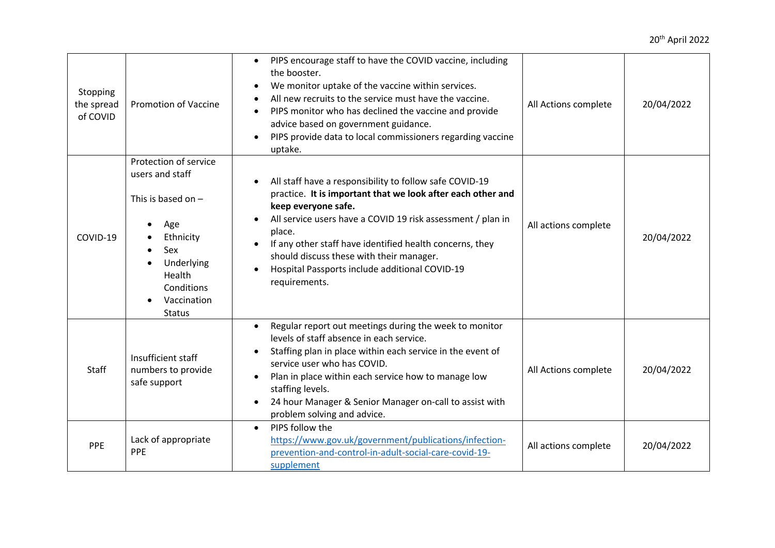| Stopping<br>the spread<br>of COVID | <b>Promotion of Vaccine</b>                                                                                                                                       | PIPS encourage staff to have the COVID vaccine, including<br>the booster.<br>We monitor uptake of the vaccine within services.<br>All new recruits to the service must have the vaccine.<br>PIPS monitor who has declined the vaccine and provide<br>$\bullet$<br>advice based on government guidance.<br>PIPS provide data to local commissioners regarding vaccine<br>uptake.                   | All Actions complete | 20/04/2022 |
|------------------------------------|-------------------------------------------------------------------------------------------------------------------------------------------------------------------|---------------------------------------------------------------------------------------------------------------------------------------------------------------------------------------------------------------------------------------------------------------------------------------------------------------------------------------------------------------------------------------------------|----------------------|------------|
| COVID-19                           | Protection of service<br>users and staff<br>This is based on $-$<br>Age<br>Ethnicity<br>Sex<br>Underlying<br>Health<br>Conditions<br>Vaccination<br><b>Status</b> | All staff have a responsibility to follow safe COVID-19<br>practice. It is important that we look after each other and<br>keep everyone safe.<br>All service users have a COVID 19 risk assessment / plan in<br>place.<br>If any other staff have identified health concerns, they<br>should discuss these with their manager.<br>Hospital Passports include additional COVID-19<br>requirements. | All actions complete | 20/04/2022 |
| Staff                              | Insufficient staff<br>numbers to provide<br>safe support                                                                                                          | Regular report out meetings during the week to monitor<br>levels of staff absence in each service.<br>Staffing plan in place within each service in the event of<br>service user who has COVID.<br>Plan in place within each service how to manage low<br>staffing levels.<br>24 hour Manager & Senior Manager on-call to assist with<br>problem solving and advice.                              | All Actions complete | 20/04/2022 |
| PPE                                | Lack of appropriate<br><b>PPE</b>                                                                                                                                 | PIPS follow the<br>$\bullet$<br>https://www.gov.uk/government/publications/infection-<br>prevention-and-control-in-adult-social-care-covid-19-<br>supplement                                                                                                                                                                                                                                      | All actions complete | 20/04/2022 |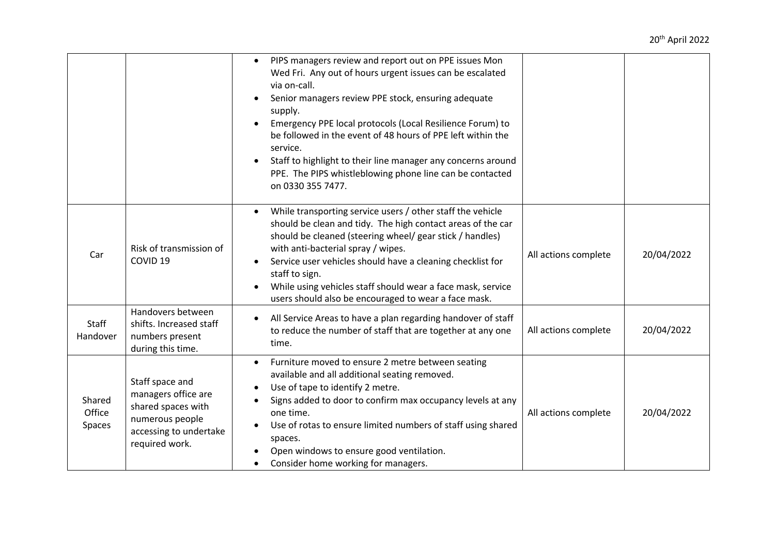|                            |                                                                                                                             | PIPS managers review and report out on PPE issues Mon<br>$\bullet$<br>Wed Fri. Any out of hours urgent issues can be escalated<br>via on-call.<br>Senior managers review PPE stock, ensuring adequate<br>supply.<br>Emergency PPE local protocols (Local Resilience Forum) to<br>be followed in the event of 48 hours of PPE left within the<br>service.<br>Staff to highlight to their line manager any concerns around<br>PPE. The PIPS whistleblowing phone line can be contacted<br>on 0330 355 7477. |                      |            |
|----------------------------|-----------------------------------------------------------------------------------------------------------------------------|-----------------------------------------------------------------------------------------------------------------------------------------------------------------------------------------------------------------------------------------------------------------------------------------------------------------------------------------------------------------------------------------------------------------------------------------------------------------------------------------------------------|----------------------|------------|
| Car                        | Risk of transmission of<br>COVID <sub>19</sub>                                                                              | While transporting service users / other staff the vehicle<br>$\bullet$<br>should be clean and tidy. The high contact areas of the car<br>should be cleaned (steering wheel/ gear stick / handles)<br>with anti-bacterial spray / wipes.<br>Service user vehicles should have a cleaning checklist for<br>staff to sign.<br>While using vehicles staff should wear a face mask, service<br>users should also be encouraged to wear a face mask.                                                           | All actions complete | 20/04/2022 |
| Staff<br>Handover          | Handovers between<br>shifts. Increased staff<br>numbers present<br>during this time.                                        | All Service Areas to have a plan regarding handover of staff<br>to reduce the number of staff that are together at any one<br>time.                                                                                                                                                                                                                                                                                                                                                                       | All actions complete | 20/04/2022 |
| Shared<br>Office<br>Spaces | Staff space and<br>managers office are<br>shared spaces with<br>numerous people<br>accessing to undertake<br>required work. | Furniture moved to ensure 2 metre between seating<br>$\bullet$<br>available and all additional seating removed.<br>Use of tape to identify 2 metre.<br>Signs added to door to confirm max occupancy levels at any<br>one time.<br>Use of rotas to ensure limited numbers of staff using shared<br>spaces.<br>Open windows to ensure good ventilation.<br>Consider home working for managers.                                                                                                              | All actions complete | 20/04/2022 |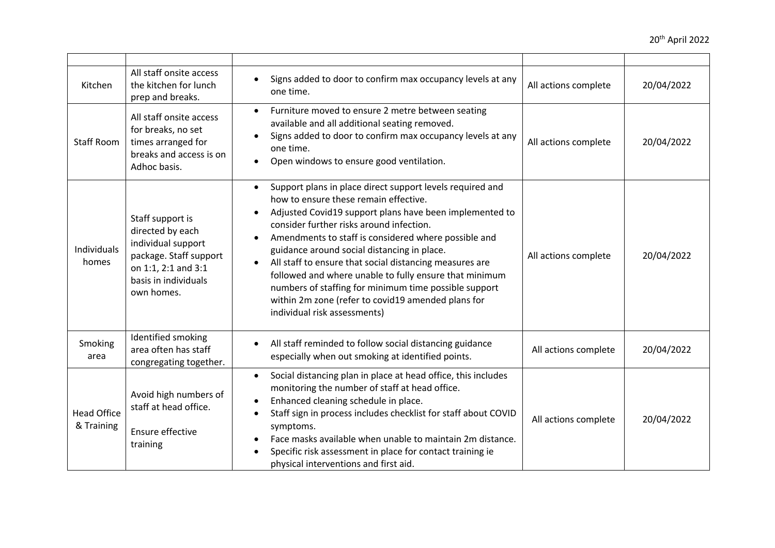| Kitchen                          | All staff onsite access<br>the kitchen for lunch<br>prep and breaks.                                                                              | Signs added to door to confirm max occupancy levels at any<br>one time.                                                                                                                                                                                                                                                                                                                                                                                                                                                                                                                                        | All actions complete | 20/04/2022 |
|----------------------------------|---------------------------------------------------------------------------------------------------------------------------------------------------|----------------------------------------------------------------------------------------------------------------------------------------------------------------------------------------------------------------------------------------------------------------------------------------------------------------------------------------------------------------------------------------------------------------------------------------------------------------------------------------------------------------------------------------------------------------------------------------------------------------|----------------------|------------|
| <b>Staff Room</b>                | All staff onsite access<br>for breaks, no set<br>times arranged for<br>breaks and access is on<br>Adhoc basis.                                    | Furniture moved to ensure 2 metre between seating<br>$\bullet$<br>available and all additional seating removed.<br>Signs added to door to confirm max occupancy levels at any<br>one time.<br>Open windows to ensure good ventilation.                                                                                                                                                                                                                                                                                                                                                                         | All actions complete | 20/04/2022 |
| Individuals<br>homes             | Staff support is<br>directed by each<br>individual support<br>package. Staff support<br>on 1:1, 2:1 and 3:1<br>basis in individuals<br>own homes. | Support plans in place direct support levels required and<br>how to ensure these remain effective.<br>Adjusted Covid19 support plans have been implemented to<br>$\bullet$<br>consider further risks around infection.<br>Amendments to staff is considered where possible and<br>guidance around social distancing in place.<br>All staff to ensure that social distancing measures are<br>$\bullet$<br>followed and where unable to fully ensure that minimum<br>numbers of staffing for minimum time possible support<br>within 2m zone (refer to covid19 amended plans for<br>individual risk assessments) | All actions complete | 20/04/2022 |
| Smoking<br>area                  | Identified smoking<br>area often has staff<br>congregating together.                                                                              | All staff reminded to follow social distancing guidance<br>especially when out smoking at identified points.                                                                                                                                                                                                                                                                                                                                                                                                                                                                                                   | All actions complete | 20/04/2022 |
| <b>Head Office</b><br>& Training | Avoid high numbers of<br>staff at head office.<br>Ensure effective<br>training                                                                    | Social distancing plan in place at head office, this includes<br>$\bullet$<br>monitoring the number of staff at head office.<br>Enhanced cleaning schedule in place.<br>$\bullet$<br>Staff sign in process includes checklist for staff about COVID<br>symptoms.<br>Face masks available when unable to maintain 2m distance.<br>Specific risk assessment in place for contact training ie<br>physical interventions and first aid.                                                                                                                                                                            | All actions complete | 20/04/2022 |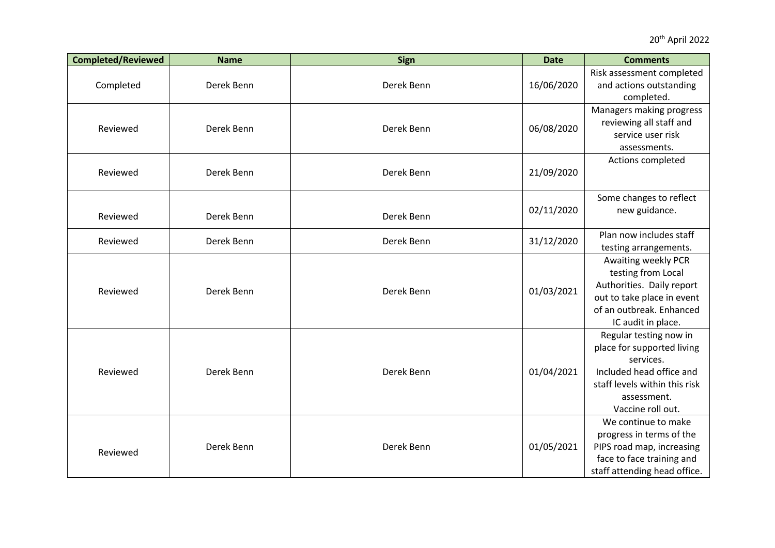| <b>Completed/Reviewed</b> | <b>Name</b> | <b>Sign</b> | <b>Date</b> | <b>Comments</b>                                                                                                                                                    |
|---------------------------|-------------|-------------|-------------|--------------------------------------------------------------------------------------------------------------------------------------------------------------------|
| Completed                 | Derek Benn  | Derek Benn  | 16/06/2020  | Risk assessment completed<br>and actions outstanding<br>completed.                                                                                                 |
| Reviewed                  | Derek Benn  | Derek Benn  | 06/08/2020  | Managers making progress<br>reviewing all staff and<br>service user risk<br>assessments.                                                                           |
| Reviewed                  | Derek Benn  | Derek Benn  | 21/09/2020  | Actions completed                                                                                                                                                  |
| Reviewed                  | Derek Benn  | Derek Benn  | 02/11/2020  | Some changes to reflect<br>new guidance.                                                                                                                           |
| Reviewed                  | Derek Benn  | Derek Benn  | 31/12/2020  | Plan now includes staff<br>testing arrangements.                                                                                                                   |
| Reviewed                  | Derek Benn  | Derek Benn  | 01/03/2021  | Awaiting weekly PCR<br>testing from Local<br>Authorities. Daily report<br>out to take place in event<br>of an outbreak. Enhanced<br>IC audit in place.             |
| Reviewed                  | Derek Benn  | Derek Benn  | 01/04/2021  | Regular testing now in<br>place for supported living<br>services.<br>Included head office and<br>staff levels within this risk<br>assessment.<br>Vaccine roll out. |
| Reviewed                  | Derek Benn  | Derek Benn  | 01/05/2021  | We continue to make<br>progress in terms of the<br>PIPS road map, increasing<br>face to face training and<br>staff attending head office.                          |